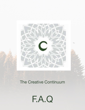

# The Creative Continuum

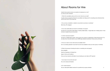## About Rooms for Hire

Hopefully these questions answer your questions, but please give us a call if you need any further clarification

1. What's the cancellation policy and how much notice do you need?

A weeks notice is required for Studio hire cancellation and 3days prior for consulting rooms otherwise there will be a fee of 50% of the hiring cost.

2. Do you have a newsletter or website I can promote my services or workshop? Mail chimp, FB, Instagram

3. How many trestle tables and chairs fit comfortably in the space?

Yes there are 2 long timber trestle tables 2 smaller portable tables, 1 longer table and 12 folding chairs. If more furniture is needed, they can be sourced.

### 4. Is there music/sound system?

Yes there is a SONOs Move system, which anyone can connect to via Bluetooth or Wifi with their phone. You can play all your favourite tracks via your SONOs app, Spotify, Soundcloud, ITunes and any other app

5. How can I check or know what rooms are available when?

Go to our booking calendar to see when the room/s are available to host your event, group or workshop.

6. What is the process of booking the studio or consulting room and paying? View availability

Submit an Expression of Interest form

Agree to Terms and Conditions

Once you have received confirmation of your booking you can make an EFT payment

7. Can I book in for one time slot only? Yes. Link to rates and timeslots

8. Do I need insurance?

2 Yes you need public liability insurance for yourself and your group members 3